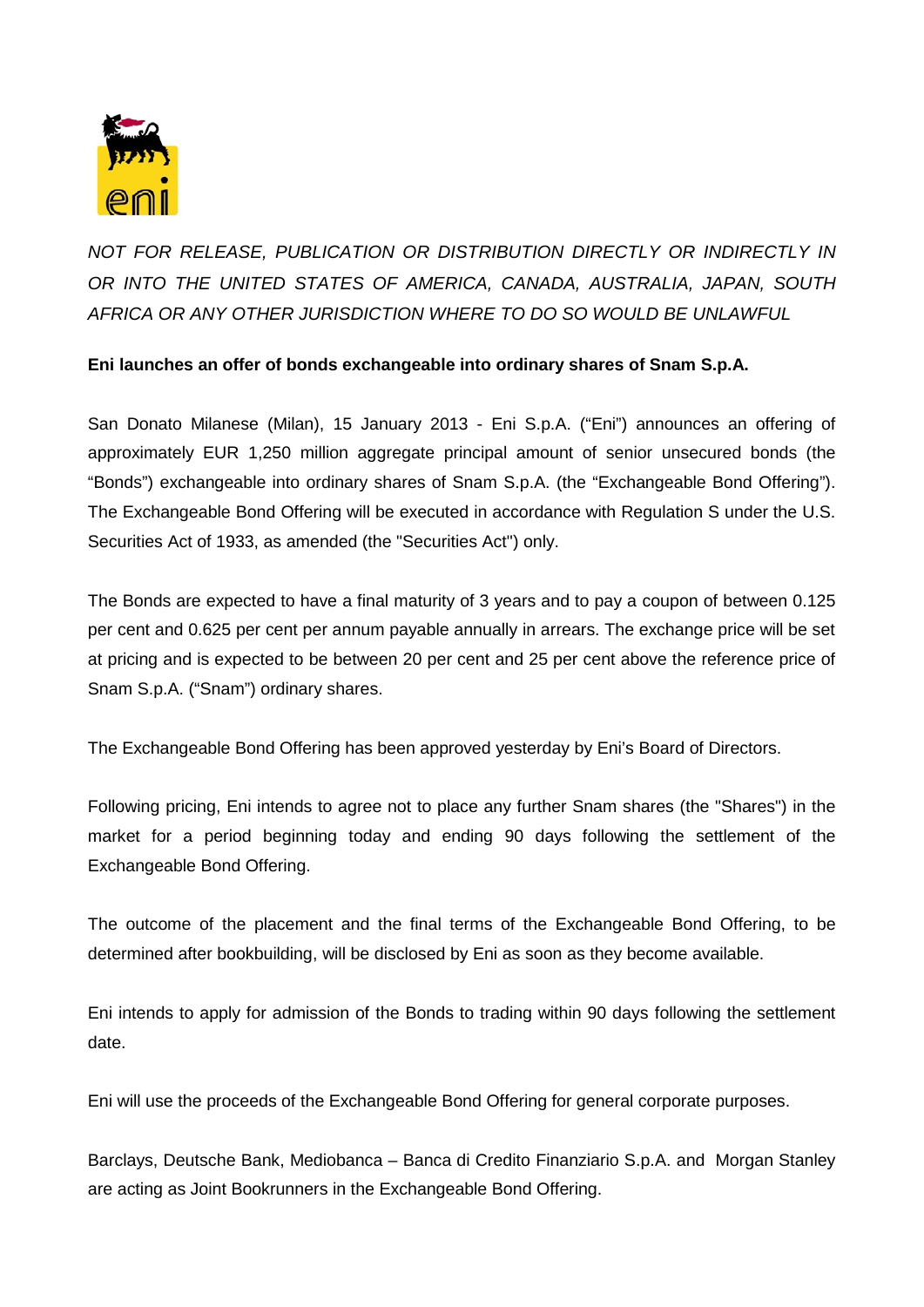

*NOT FOR RELEASE, PUBLICATION OR DISTRIBUTION DIRECTLY OR INDIRECTLY IN OR INTO THE UNITED STATES OF AMERICA, CANADA, AUSTRALIA, JAPAN, SOUTH AFRICA OR ANY OTHER JURISDICTION WHERE TO DO SO WOULD BE UNLAWFUL*

**Eni launches an offer of bonds exchangeable into ordinary shares of Snam S.p.A.**

San Donato Milanese (Milan), 15 January 2013 - Eni S.p.A. ("Eni") announces an offering of approximately EUR 1,250 million aggregate principal amount of senior unsecured bonds (the "Bonds") exchangeable into ordinary shares of Snam S.p.A. (the "Exchangeable Bond Offering"). The Exchangeable Bond Offering will be executed in accordance with Regulation S under the U.S. Securities Act of 1933, as amended (the "Securities Act") only.

The Bonds are expected to have a final maturity of 3 years and to pay a coupon of between 0.125 per cent and 0.625 per cent per annum payable annually in arrears. The exchange price will be set at pricing and is expected to be between 20 per cent and 25 per cent above the reference price of Snam S.p.A. ("Snam") ordinary shares.

The Exchangeable Bond Offering has been approved yesterday by Eni's Board of Directors.

Following pricing, Eni intends to agree not to place any further Snam shares (the "Shares") in the market for a period beginning today and ending 90 days following the settlement of the Exchangeable Bond Offering.

The outcome of the placement and the final terms of the Exchangeable Bond Offering, to be determined after bookbuilding, will be disclosed by Eni as soon as they become available.

Eni intends to apply for admission of the Bonds to trading within 90 days following the settlement date.

Eni will use the proceeds of the Exchangeable Bond Offering for general corporate purposes.

Barclays, Deutsche Bank, Mediobanca – Banca di Credito Finanziario S.p.A. and Morgan Stanley are acting as Joint Bookrunners in the Exchangeable Bond Offering.